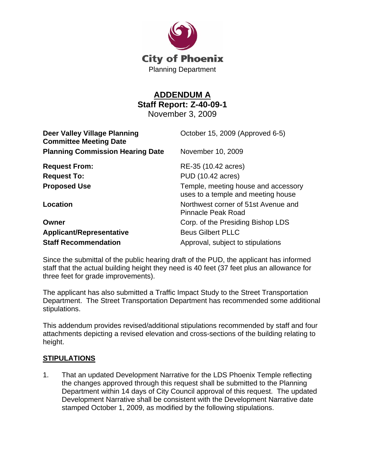

## **ADDENDUM A Staff Report: Z-40-09-1**

November 3, 2009

| <b>Deer Valley Village Planning</b><br><b>Committee Meeting Date</b> | October 15, 2009 (Approved 6-5)                                           |
|----------------------------------------------------------------------|---------------------------------------------------------------------------|
| <b>Planning Commission Hearing Date</b>                              | November 10, 2009                                                         |
| <b>Request From:</b>                                                 | RE-35 (10.42 acres)                                                       |
| <b>Request To:</b>                                                   | PUD (10.42 acres)                                                         |
| <b>Proposed Use</b>                                                  | Temple, meeting house and accessory<br>uses to a temple and meeting house |
| Location                                                             | Northwest corner of 51st Avenue and<br>Pinnacle Peak Road                 |
| Owner                                                                | Corp. of the Presiding Bishop LDS                                         |
| <b>Applicant/Representative</b>                                      | <b>Beus Gilbert PLLC</b>                                                  |
| <b>Staff Recommendation</b>                                          | Approval, subject to stipulations                                         |

Since the submittal of the public hearing draft of the PUD, the applicant has informed staff that the actual building height they need is 40 feet (37 feet plus an allowance for three feet for grade improvements).

The applicant has also submitted a Traffic Impact Study to the Street Transportation Department. The Street Transportation Department has recommended some additional stipulations.

This addendum provides revised/additional stipulations recommended by staff and four attachments depicting a revised elevation and cross-sections of the building relating to height.

## **STIPULATIONS**

1. That an updated Development Narrative for the LDS Phoenix Temple reflecting the changes approved through this request shall be submitted to the Planning Department within 14 days of City Council approval of this request. The updated Development Narrative shall be consistent with the Development Narrative date stamped October 1, 2009, as modified by the following stipulations.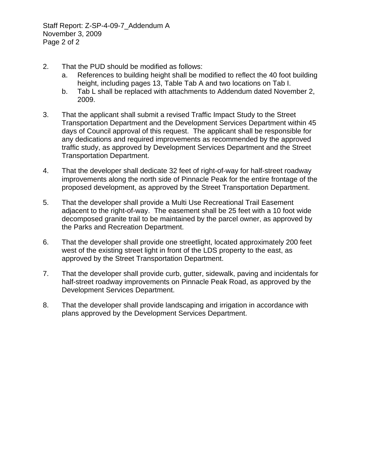Staff Report: Z-SP-4-09-7\_Addendum A November 3, 2009 Page 2 of 2

- 2. That the PUD should be modified as follows:
	- a. References to building height shall be modified to reflect the 40 foot building height, including pages 13, Table Tab A and two locations on Tab I.
	- b. Tab L shall be replaced with attachments to Addendum dated November 2, 2009.
- 3. That the applicant shall submit a revised Traffic Impact Study to the Street Transportation Department and the Development Services Department within 45 days of Council approval of this request. The applicant shall be responsible for any dedications and required improvements as recommended by the approved traffic study, as approved by Development Services Department and the Street Transportation Department.
- 4. That the developer shall dedicate 32 feet of right-of-way for half-street roadway improvements along the north side of Pinnacle Peak for the entire frontage of the proposed development, as approved by the Street Transportation Department.
- 5. That the developer shall provide a Multi Use Recreational Trail Easement adjacent to the right-of-way. The easement shall be 25 feet with a 10 foot wide decomposed granite trail to be maintained by the parcel owner, as approved by the Parks and Recreation Department.
- 6. That the developer shall provide one streetlight, located approximately 200 feet west of the existing street light in front of the LDS property to the east, as approved by the Street Transportation Department.
- 7. That the developer shall provide curb, gutter, sidewalk, paving and incidentals for half-street roadway improvements on Pinnacle Peak Road, as approved by the Development Services Department.
- 8. That the developer shall provide landscaping and irrigation in accordance with plans approved by the Development Services Department.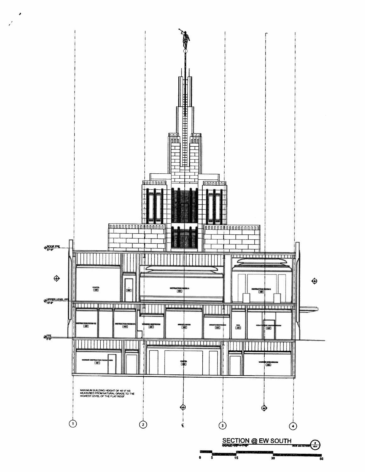

ø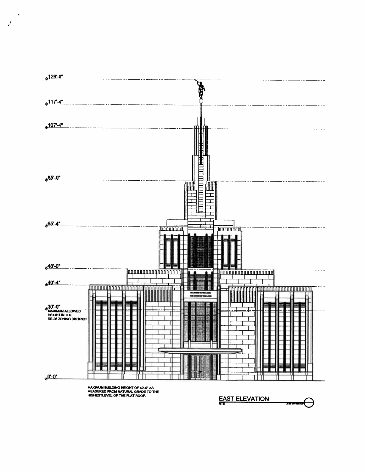

MAXIMUM BUILDING HEIGHT OF 40°-0" AS<br>MEASURED FROM NATURAL GRADE TO THE<br>HIGHESTLEVEL OF THE FLAT ROOF.

Τ

**EAST ELEVATION** 

 $\mathcal{L}$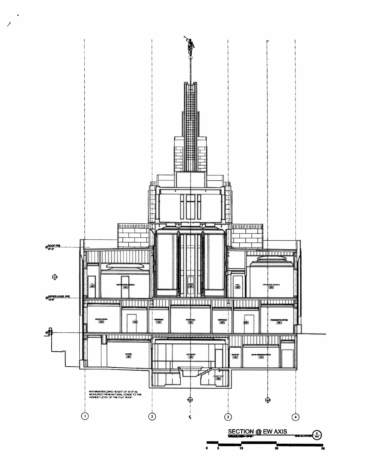

 $\overline{\mathscr{S}}$